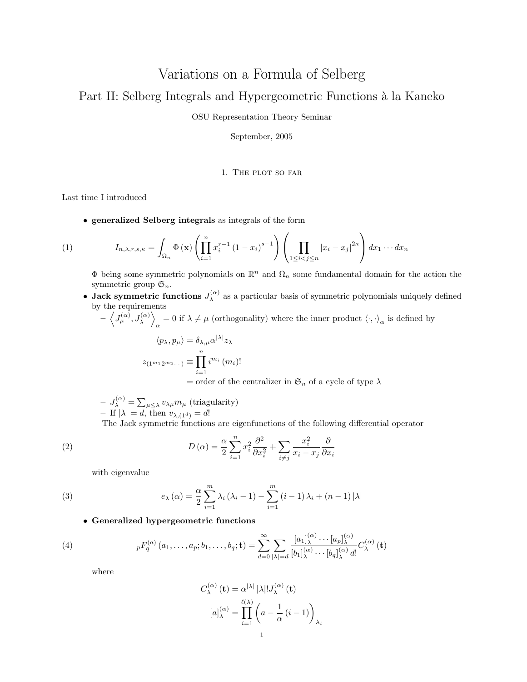# Variations on a Formula of Selberg

## Part II: Selberg Integrals and Hypergeometric Functions à la Kaneko

OSU Representation Theory Seminar

September, 2005

#### 1. The plot so far

Last time I introduced

• generalized Selberg integrals as integrals of the form

(1) 
$$
I_{n,\lambda,r,s,\kappa} = \int_{\Omega_n} \Phi(\mathbf{x}) \left( \prod_{i=1}^n x_i^{r-1} (1-x_i)^{s-1} \right) \left( \prod_{1 \leq i < j \leq n} |x_i - x_j|^{2\kappa} \right) dx_1 \cdots dx_n
$$

 $\Phi$  being some symmetric polynomials on  $\mathbb{R}^n$  and  $\Omega_n$  some fundamental domain for the action the symmetric group  $\mathfrak{S}_n$ .

• Jack symmetric functions  $J_{\lambda}^{(\alpha)}$  $\lambda^{\alpha}$  as a particular basis of symmetric polynomials uniquely defined by the requirements

 $-\left\langle J_{\mu}^{(\alpha)}, J_{\lambda}^{(\alpha)}\right\rangle$  $\alpha = 0$  if  $\lambda \neq \mu$  (orthogonality) where the inner product  $\langle \cdot, \cdot \rangle_{\alpha}$  is defined by

$$
\langle p_{\lambda}, p_{\mu} \rangle = \delta_{\lambda, \mu} \alpha^{|\lambda|} z_{\lambda}
$$
  

$$
z_{(1^{m_1} 2^{m_2} \cdots)} \equiv \prod_{i=1}^{n} i^{m_i} (m_i)!
$$
  
= order of the centralizer in  $\mathfrak{S}_n$  of a cycle of type  $\lambda$ 

 $-J_{\lambda}^{(\alpha)} = \sum_{\mu \leq \lambda} v_{\lambda\mu} m_{\mu}$  (triagularity) – If  $|\lambda| = d$ , then  $v_{\lambda,(1^d)} = d!$ 

The Jack symmetric functions are eigenfunctions of the following differential operator

(2) 
$$
D(\alpha) = \frac{\alpha}{2} \sum_{i=1}^{n} x_i^2 \frac{\partial^2}{\partial x_i^2} + \sum_{i \neq j} \frac{x_i^2}{x_i - x_j} \frac{\partial}{\partial x_i}
$$

with eigenvalue

(3) 
$$
e_{\lambda}(\alpha) = \frac{\alpha}{2} \sum_{i=1}^{m} \lambda_i (\lambda_i - 1) - \sum_{i=1}^{m} (i-1) \lambda_i + (n-1) |\lambda|
$$

## • Generalized hypergeometric functions

(4) 
$$
{}_{p}F_{q}^{(a)}(a_{1},...,a_{p};b_{1},...,b_{q};\mathbf{t}) = \sum_{d=0}^{\infty} \sum_{|\lambda|=d} \frac{[a_{1}]_{\lambda}^{(\alpha)} \cdots [a_{p}]_{\lambda}^{(\alpha)}}{[b_{1}]_{\lambda}^{(\alpha)} \cdots [b_{q}]_{\lambda}^{(\alpha)} d!} C_{\lambda}^{(\alpha)}(\mathbf{t})
$$

where

$$
C_{\lambda}^{(\alpha)}(\mathbf{t}) = \alpha^{|\lambda|} |\lambda|! J_{\lambda}^{(\alpha)}(\mathbf{t})
$$

$$
[a]_{\lambda}^{(\alpha)} = \prod_{i=1}^{\ell(\lambda)} \left( a - \frac{1}{\alpha} (i-1) \right)_{\lambda_i}
$$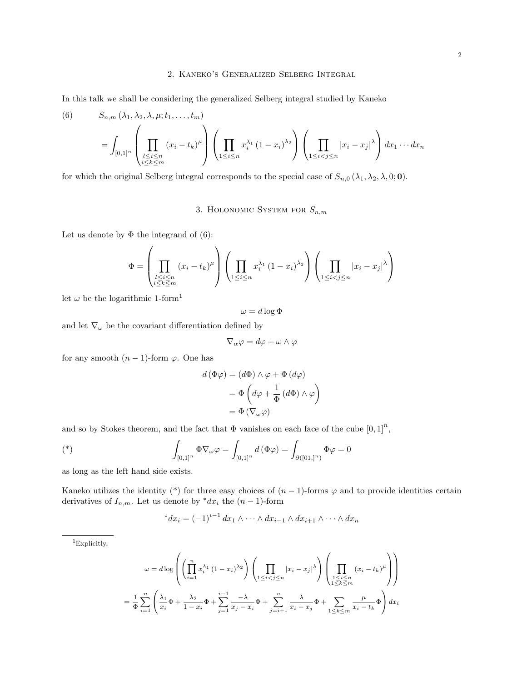#### 2. Kaneko's Generalized Selberg Integral

In this talk we shall be considering the generalized Selberg integral studied by Kaneko

(6) 
$$
S_{n,m}(\lambda_1, \lambda_2, \lambda, \mu; t_1, \dots, t_m)
$$

$$
= \int_{[0,1]^n} \left( \prod_{\substack{l \le i \le n \\ i \le k \le m}} (x_i - t_k)^{\mu} \right) \left( \prod_{1 \le i \le n} x_i^{\lambda_1} (1 - x_i)^{\lambda_2} \right) \left( \prod_{1 \le i < j \le n} |x_i - x_j|^{\lambda} \right) dx_1 \cdots dx_n
$$

for which the original Selberg integral corresponds to the special case of  $S_{n,0}(\lambda_1, \lambda_2, \lambda, 0; 0)$ .

3. HOLONOMIC SYSTEM FOR  $S_{n,m}$ 

Let us denote by  $\Phi$  the integrand of (6):

$$
\Phi = \left(\prod_{\substack{l \le i \le n \\ i \le k \le m}} (x_i - t_k)^{\mu}\right) \left(\prod_{1 \le i \le n} x_i^{\lambda_1} (1 - x_i)^{\lambda_2}\right) \left(\prod_{1 \le i < j \le n} |x_i - x_j|^{\lambda}\right)
$$

let  $\omega$  be the logarithmic 1-form<sup>1</sup>

$$
\omega = d \log \Phi
$$

and let  $\nabla_\omega$  be the covariant differentiation defined by

$$
\nabla_\alpha \varphi = d\varphi + \omega \wedge \varphi
$$

for any smooth  $(n-1)$ -form  $\varphi$ . One has

$$
d (\Phi \varphi) = (d\Phi) \wedge \varphi + \Phi (d\varphi)
$$

$$
= \Phi \left( d\varphi + \frac{1}{\Phi} (d\Phi) \wedge \varphi \right)
$$

$$
= \Phi (\nabla_{\omega} \varphi)
$$

and so by Stokes theorem, and the fact that  $\Phi$  vanishes on each face of the cube  $[0,1]^n$ ,

$$
(*)\qquad \qquad \int_{[0,1]^n} \Phi \nabla_\omega \varphi = \int_{[0,1]^n} d(\Phi \varphi) = \int_{\partial([01,1]^n)} \Phi \varphi = 0
$$

as long as the left hand side exists.

Kaneko utilizes the identity (\*) for three easy choices of  $(n-1)$ -forms  $\varphi$  and to provide identities certain derivatives of  $I_{n,m}$ . Let us denote by \* $dx_i$  the  $(n-1)$ -form

$$
{}^*dx_i = (-1)^{i-1} dx_1 \wedge \cdots \wedge dx_{i-1} \wedge dx_{i+1} \wedge \cdots \wedge dx_n
$$

 $^1\mathsf{Explicit}$ 

$$
\omega = d \log \left( \left( \prod_{i=1}^{n} x_i^{\lambda_1} (1 - x_i)^{\lambda_2} \right) \left( \prod_{1 \le i < j \le n} |x_i - x_j|^{\lambda} \right) \left( \prod_{\substack{1 \le i \le n \\ 1 \le k \le m}} (x_i - t_k)^{\mu} \right) \right)
$$
\n
$$
= \frac{1}{\Phi} \sum_{i=1}^{n} \left( \frac{\lambda_1}{x_i} \Phi + \frac{\lambda_2}{1 - x_i} \Phi + \sum_{j=1}^{i-1} \frac{-\lambda}{x_j - x_i} \Phi + \sum_{j=i+1}^{n} \frac{\lambda}{x_i - x_j} \Phi + \sum_{1 \le k \le m} \frac{\mu}{x_i - t_k} \Phi \right) dx_i
$$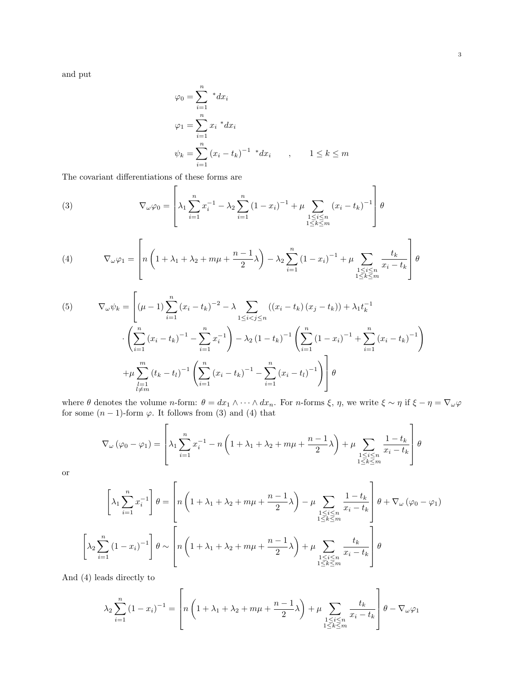and put

$$
\varphi_0 = \sum_{i=1}^n * dx_i
$$
  
\n
$$
\varphi_1 = \sum_{i=1}^n x_i * dx_i
$$
  
\n
$$
\psi_k = \sum_{i=1}^n (x_i - t_k)^{-1} * dx_i \qquad , \qquad 1 \le k \le m
$$

The covariant differentiations of these forms are

(3) 
$$
\nabla_{\omega}\varphi_0 = \left[\lambda_1 \sum_{i=1}^n x_i^{-1} - \lambda_2 \sum_{i=1}^n (1-x_i)^{-1} + \mu \sum_{\substack{1 \le i \le n \\ 1 \le k \le m}} (x_i - t_k)^{-1}\right] \theta
$$

(4) 
$$
\nabla_{\omega} \varphi_1 = \left[ n \left( 1 + \lambda_1 + \lambda_2 + m\mu + \frac{n-1}{2} \lambda \right) - \lambda_2 \sum_{i=1}^n (1 - x_i)^{-1} + \mu \sum_{\substack{1 \le i \le n \\ 1 \le k \le m}} \frac{t_k}{x_i - t_k} \right] \theta
$$

(5) 
$$
\nabla_{\omega}\psi_{k} = \left[ (\mu - 1) \sum_{i=1}^{n} (x_{i} - t_{k})^{-2} - \lambda \sum_{1 \leq i < j \leq n} ((x_{i} - t_{k}) (x_{j} - t_{k})) + \lambda_{1} t_{k}^{-1} \right. \\ \left. \left. \cdot \left( \sum_{i=1}^{n} (x_{i} - t_{k})^{-1} - \sum_{i=1}^{n} x_{i}^{-1} \right) - \lambda_{2} (1 - t_{k})^{-1} \left( \sum_{i=1}^{n} (1 - x_{i})^{-1} + \sum_{i=1}^{n} (x_{i} - t_{k})^{-1} \right) \right. \\ \left. + \mu \sum_{\substack{l=1 \ l \neq m}}^{m} (t_{k} - t_{l})^{-1} \left( \sum_{i=1}^{n} (x_{i} - t_{k})^{-1} - \sum_{i=1}^{n} (x_{i} - t_{l})^{-1} \right) \right] \theta
$$

where  $\theta$  denotes the volume n-form:  $\theta = dx_1 \wedge \cdots \wedge dx_n$ . For n-forms  $\xi$ ,  $\eta$ , we write  $\xi \sim \eta$  if  $\xi - \eta = \nabla_{\omega} \varphi$ for some  $(n-1)$ -form  $\varphi$ . It follows from (3) and (4) that

$$
\nabla_{\omega} (\varphi_0 - \varphi_1) = \left[ \lambda_1 \sum_{i=1}^n x_i^{-1} - n \left( 1 + \lambda_1 + \lambda_2 + m\mu + \frac{n-1}{2} \lambda \right) + \mu \sum_{\substack{1 \le i \le n \\ 1 \le k \le m}} \frac{1 - t_k}{x_i - t_k} \right] \theta
$$

or

$$
\left[\lambda_1 \sum_{i=1}^n x_i^{-1}\right] \theta = \left[n\left(1 + \lambda_1 + \lambda_2 + m\mu + \frac{n-1}{2}\lambda\right) - \mu \sum_{\substack{1 \le i \le n \\ 1 \le k \le m}} \frac{1 - t_k}{x_i - t_k}\right] \theta + \nabla_\omega \left(\varphi_0 - \varphi_1\right)
$$

$$
\left[\lambda_2 \sum_{i=1}^n \left(1 - x_i\right)^{-1}\right] \theta \sim \left[n\left(1 + \lambda_1 + \lambda_2 + m\mu + \frac{n-1}{2}\lambda\right) + \mu \sum_{\substack{1 \le i \le n \\ 1 \le k \le m}} \frac{t_k}{x_i - t_k}\right] \theta
$$

And (4) leads directly to

$$
\lambda_2 \sum_{i=1}^n (1 - x_i)^{-1} = \left[ n \left( 1 + \lambda_1 + \lambda_2 + m\mu + \frac{n-1}{2} \lambda \right) + \mu \sum_{\substack{1 \le i \le n \\ 1 \le k \le m}} \frac{t_k}{x_i - t_k} \right] \theta - \nabla_\omega \varphi_1
$$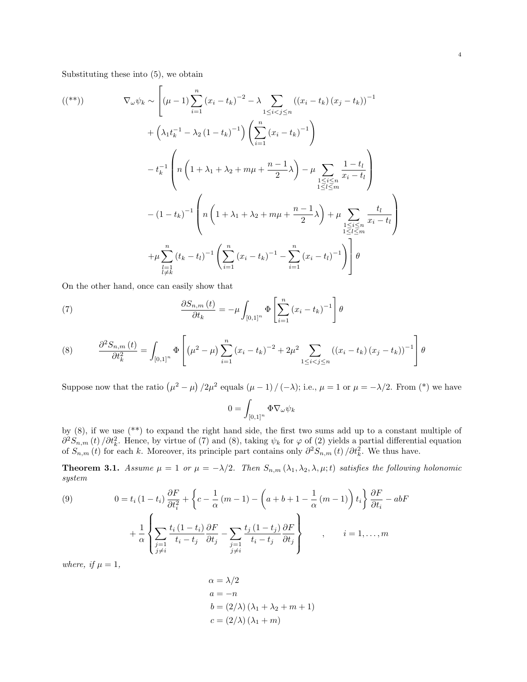Substituting these into (5), we obtain

$$
\begin{split} \n\left( \binom{**}{1} \right) \qquad & \nabla_{\omega} \psi_k \sim \left[ (\mu - 1) \sum_{i=1}^n (x_i - t_k)^{-2} - \lambda \sum_{1 \le i < j \le n} ((x_i - t_k)(x_j - t_k))^{-1} \right. \\ \n&\quad + \left( \lambda_1 t_k^{-1} - \lambda_2 (1 - t_k)^{-1} \right) \left( \sum_{i=1}^n (x_i - t_k)^{-1} \right) \\ \n&\quad - t_k^{-1} \left( n \left( 1 + \lambda_1 + \lambda_2 + m\mu + \frac{n-1}{2} \lambda \right) - \mu \sum_{\substack{1 \le i \le n \\ 1 \le l \le m}} \frac{1 - t_l}{x_i - t_l} \right) \\ \n&\quad - (1 - t_k)^{-1} \left( n \left( 1 + \lambda_1 + \lambda_2 + m\mu + \frac{n-1}{2} \lambda \right) + \mu \sum_{\substack{1 \le i \le n \\ 1 \le l \le m}} \frac{t_l}{x_i - t_l} \right) \\ \n&\quad + \mu \sum_{\substack{l=1 \\ l \ne k}}^n (t_k - t_l)^{-1} \left( \sum_{i=1}^n (x_i - t_k)^{-1} - \sum_{i=1}^n (x_i - t_l)^{-1} \right) \right] \theta \end{split}
$$

On the other hand, once can easily show that

(7) 
$$
\frac{\partial S_{n,m}(t)}{\partial t_k} = -\mu \int_{[0,1]^n} \Phi\left[\sum_{i=1}^n (x_i - t_k)^{-1}\right] \theta
$$

(8) 
$$
\frac{\partial^2 S_{n,m}(t)}{\partial t_k^2} = \int_{[0,1]^n} \Phi\left[ (\mu^2 - \mu) \sum_{i=1}^n (x_i - t_k)^{-2} + 2\mu^2 \sum_{1 \le i < j \le n} ((x_i - t_k)(x_j - t_k))^{-1} \right] \theta
$$

Suppose now that the ratio  $(\mu^2 - \mu)/2\mu^2$  equals  $(\mu - 1)/(-\lambda)$ ; i.e.,  $\mu = 1$  or  $\mu = -\lambda/2$ . From (\*) we have

$$
0 = \int_{[0,1]^n} \Phi \nabla_{\omega} \psi_k
$$

by (8), if we use (\*\*) to expand the right hand side, the first two sums add up to a constant multiple of  $\partial^2 S_{n,m}(t) / \partial t_k^2$ . Hence, by virtue of (7) and (8), taking  $\psi_k$  for  $\varphi$  of (2) yields a partial differential equation of  $S_{n,m}(t)$  for each k. Moreover, its principle part contains only  $\partial^2 S_{n,m}(t) / \partial t_k^2$ . We thus have.

**Theorem 3.1.** Assume  $\mu = 1$  or  $\mu = -\lambda/2$ . Then  $S_{n,m}(\lambda_1, \lambda_2, \lambda, \mu; t)$  satisfies the following holonomic system

(9) 
$$
0 = t_i (1 - t_i) \frac{\partial F}{\partial t_i^2} + \left\{ c - \frac{1}{\alpha} (m - 1) - \left( a + b + 1 - \frac{1}{\alpha} (m - 1) \right) t_i \right\} \frac{\partial F}{\partial t_i} - abF
$$

$$
+ \frac{1}{\alpha} \left\{ \sum_{\substack{j=1 \ j \neq i}} \frac{t_i (1 - t_i)}{t_i - t_j} \frac{\partial F}{\partial t_j} - \sum_{\substack{j=1 \ j \neq i}} \frac{t_j (1 - t_j)}{t_i - t_j} \frac{\partial F}{\partial t_j} \right\} , \qquad i = 1, ..., m
$$

where, if  $\mu = 1$ ,

$$
\alpha = \lambda/2
$$
  
\n
$$
a = -n
$$
  
\n
$$
b = (2/\lambda)(\lambda_1 + \lambda_2 + m + 1)
$$
  
\n
$$
c = (2/\lambda)(\lambda_1 + m)
$$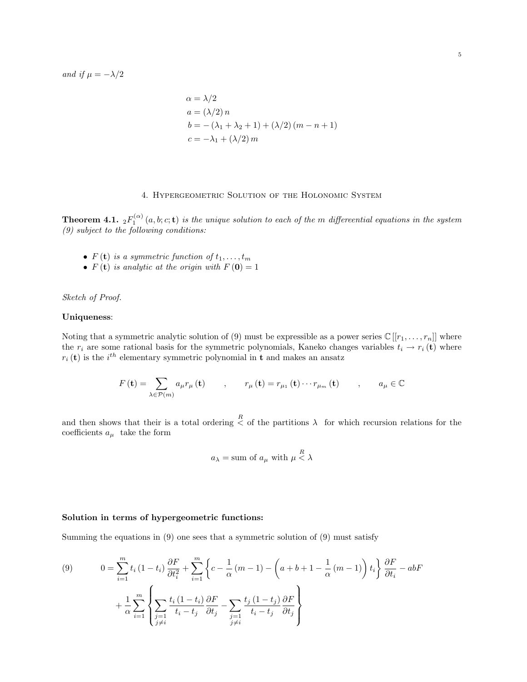and if  $\mu = -\lambda/2$ 

$$
\alpha = \lambda/2
$$
  
\n
$$
a = (\lambda/2) n
$$
  
\n
$$
b = -(\lambda_1 + \lambda_2 + 1) + (\lambda/2) (m - n + 1)
$$
  
\n
$$
c = -\lambda_1 + (\lambda/2) m
$$

## 4. Hypergeometric Solution of the Holonomic System

**Theorem 4.1.**  ${}_2F_1^{(\alpha)}(a,b;c;{\bf t})$  is the unique solution to each of the m differeential equations in the system (9) subject to the following conditions:

- $F(\mathbf{t})$  is a symmetric function of  $t_1, \ldots, t_m$
- $F(t)$  is analytic at the origin with  $F(0) = 1$

Sketch of Proof.

#### Uniqueness:

Noting that a symmetric analytic solution of (9) must be expressible as a power series  $\mathbb{C}[[r_1, \ldots, r_n]]$  where the  $r_i$  are some rational basis for the symmetric polynomials, Kaneko changes variables  $t_i \to r_i$  (t) where  $r_i(t)$  is the  $i^{th}$  elementary symmetric polynomial in t and makes an ansatz

$$
F(\mathbf{t}) = \sum_{\lambda \in \mathcal{P}(m)} a_{\mu} r_{\mu}(\mathbf{t}) \qquad , \qquad r_{\mu}(\mathbf{t}) = r_{\mu_1}(\mathbf{t}) \cdots r_{\mu_m}(\mathbf{t}) \qquad , \qquad a_{\mu} \in \mathbb{C}
$$

and then shows that their is a total ordering  $\leq$  of the partitions  $\lambda$  for which recursion relations for the coefficients  $a_{\mu}$  take the form

$$
a_{\lambda} =
$$
 sum of  $a_{\mu}$  with  $\mu \stackrel{R}{\leq} \lambda$ 

#### Solution in terms of hypergeometric functions:

Summing the equations in (9) one sees that a symmetric solution of (9) must satisfy

(9) 
$$
0 = \sum_{i=1}^{m} t_i (1-t_i) \frac{\partial F}{\partial t_i^2} + \sum_{i=1}^{m} \left\{ c - \frac{1}{\alpha} (m-1) - \left( a + b + 1 - \frac{1}{\alpha} (m-1) \right) t_i \right\} \frac{\partial F}{\partial t_i} - abF
$$

$$
+ \frac{1}{\alpha} \sum_{i=1}^{m} \left\{ \sum_{\substack{j=1 \ j \neq i}} \frac{t_i (1-t_i)}{t_i - t_j} \frac{\partial F}{\partial t_j} - \sum_{\substack{j=1 \ j \neq i}} \frac{t_j (1-t_j)}{t_i - t_j} \frac{\partial F}{\partial t_j} \right\}
$$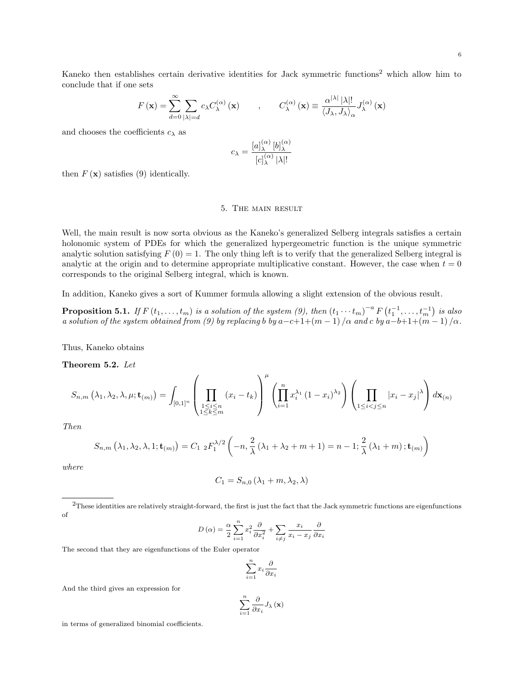6

Kaneko then establishes certain derivative identities for Jack symmetric functions<sup>2</sup> which allow him to conclude that if one sets

$$
F(\mathbf{x}) = \sum_{d=0}^{\infty} \sum_{|\lambda|=d} c_{\lambda} C_{\lambda}^{(\alpha)}(\mathbf{x}) \qquad , \qquad C_{\lambda}^{(\alpha)}(\mathbf{x}) \equiv \frac{\alpha^{|\lambda|} |\lambda|!}{\langle J_{\lambda}, J_{\lambda} \rangle_{\alpha}} J_{\lambda}^{(\alpha)}(\mathbf{x})
$$

and chooses the coefficients  $c_{\lambda}$  as

$$
c_{\lambda} = \frac{[a]_{\lambda}^{(\alpha)} [b]_{\lambda}^{(\alpha)}}{[c]_{\lambda}^{(\alpha)} |\lambda|!}
$$

then  $F(\mathbf{x})$  satisfies (9) identically.

## 5. The main result

Well, the main result is now sorta obvious as the Kaneko's generalized Selberg integrals satisfies a certain holonomic system of PDEs for which the generalized hypergeometric function is the unique symmetric analytic solution satisfying  $F(0) = 1$ . The only thing left is to verify that the generalized Selberg integral is analytic at the origin and to determine appropriate multiplicative constant. However, the case when  $t = 0$ corresponds to the original Selberg integral, which is known.

In addition, Kaneko gives a sort of Kummer formula allowing a slight extension of the obvious result.

**Proposition 5.1.** If  $F(t_1,\ldots,t_m)$  is a solution of the system (9), then  $(t_1\cdots t_m)^{-a} F(t_1^{-1},\ldots,t_m^{-1})$  is also a solution of the system obtained from (9) by replacing b by  $a-c+1+(m-1)/\alpha$  and c by  $a-b+1+(m-1)/\alpha$ .

Thus, Kaneko obtains

Theorem 5.2. Let

$$
S_{n,m}\left(\lambda_1,\lambda_2,\lambda,\mu;\mathbf{t}_{(m)}\right) = \int_{\left[0,1\right]^n} \left(\prod_{\substack{1 \leq i \leq n \\ 1 \leq k \leq m}} \left(x_i - t_k\right)\right)^{\mu} \left(\prod_{i=1}^n x_i^{\lambda_1} \left(1 - x_i\right)^{\lambda_2}\right) \left(\prod_{1 \leq i < j \leq n} \left|x_i - x_j\right|^{\lambda}\right) d\mathbf{x}_{(n)}
$$

Then

$$
S_{n,m} (\lambda_1, \lambda_2, \lambda, 1; \mathbf{t}_{(m)}) = C_{1 \ 2} F_1^{\lambda/2} \left( -n, \frac{2}{\lambda} (\lambda_1 + \lambda_2 + m + 1) = n - 1; \frac{2}{\lambda} (\lambda_1 + m) ; \mathbf{t}_{(m)} \right)
$$

where

$$
C_1 = S_{n,0} (\lambda_1 + m, \lambda_2, \lambda)
$$

<sup>2</sup>These identities are relatively straight-forward, the first is just the fact that the Jack symmetric functions are eigenfunctions of

$$
D\left(\alpha\right) = \frac{\alpha}{2} \sum_{i=1}^{n} x_{i}^{2} \frac{\partial}{\partial x_{i}^{2}} + \sum_{i \neq j} \frac{x_{i}}{x_{i} - x_{j}} \frac{\partial}{\partial x_{i}}
$$

The second that they are eigenfunctions of the Euler operator

$$
\sum_{i=1}^n x_i \frac{\partial}{\partial x_i}
$$

And the third gives an expression for

$$
\sum_{i=1}^{n} \frac{\partial}{\partial x_i} J_{\lambda} \left( \mathbf{x} \right)
$$

in terms of generalized binomial coefficients.